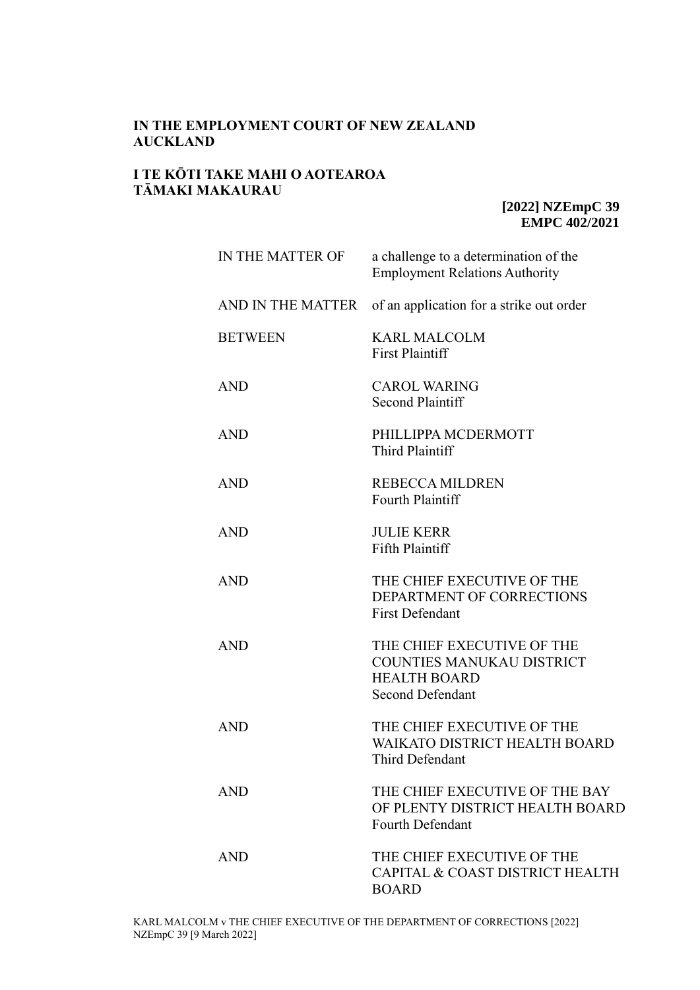# **IN THE EMPLOYMENT COURT OF NEW ZEALAND AUCKLAND**

## **I TE KŌTI TAKE MAHI O AOTEAROA TĀMAKI MAKAURAU**

**[2022] NZEmpC 39 EMPC 402/2021**

| IN THE MATTER OF  | a challenge to a determination of the<br><b>Employment Relations Authority</b>                                   |
|-------------------|------------------------------------------------------------------------------------------------------------------|
| AND IN THE MATTER | of an application for a strike out order                                                                         |
| <b>BETWEEN</b>    | <b>KARL MALCOLM</b><br><b>First Plaintiff</b>                                                                    |
| <b>AND</b>        | <b>CAROL WARING</b><br>Second Plaintiff                                                                          |
| <b>AND</b>        | PHILLIPPA MCDERMOTT<br><b>Third Plaintiff</b>                                                                    |
| <b>AND</b>        | <b>REBECCA MILDREN</b><br>Fourth Plaintiff                                                                       |
| <b>AND</b>        | <b>JULIE KERR</b><br>Fifth Plaintiff                                                                             |
| <b>AND</b>        | THE CHIEF EXECUTIVE OF THE<br>DEPARTMENT OF CORRECTIONS<br><b>First Defendant</b>                                |
| <b>AND</b>        | THE CHIEF EXECUTIVE OF THE<br><b>COUNTIES MANUKAU DISTRICT</b><br><b>HEALTH BOARD</b><br><b>Second Defendant</b> |
| <b>AND</b>        | THE CHIEF EXECUTIVE OF THE<br>WAIK ATO DISTRICT HEALTH BOARD<br>Third Defendant                                  |
| <b>AND</b>        | THE CHIEF EXECUTIVE OF THE BAY<br>OF PLENTY DISTRICT HEALTH BOARD<br><b>Fourth Defendant</b>                     |
| <b>AND</b>        | THE CHIEF EXECUTIVE OF THE<br>CAPITAL & COAST DISTRICT HEALTH<br><b>BOARD</b>                                    |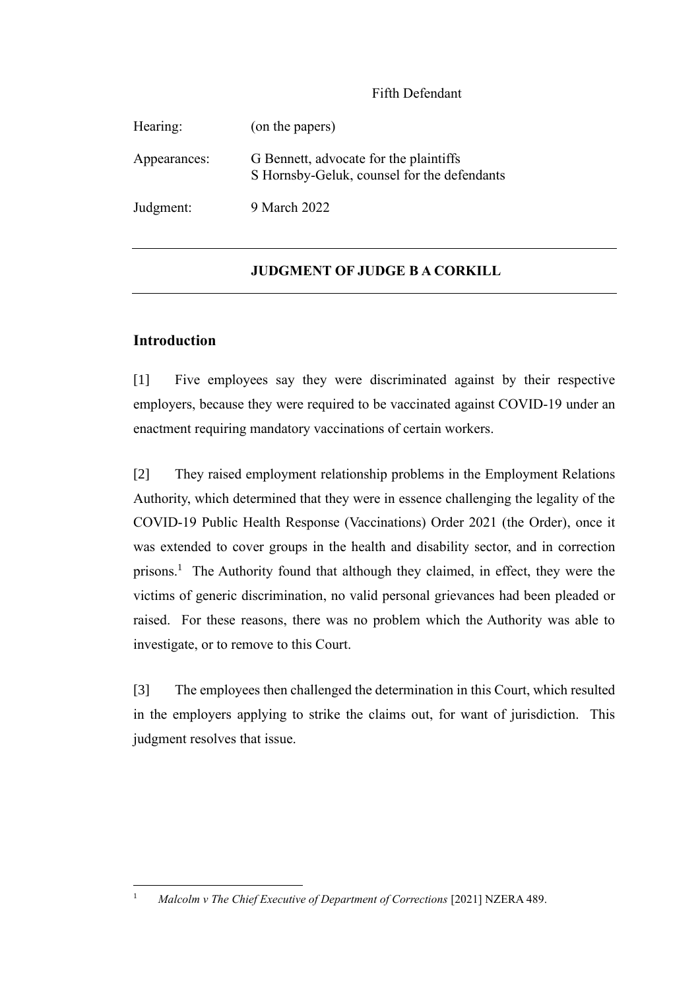# Fifth Defendant

| Hearing:     | (on the papers)                                                                       |
|--------------|---------------------------------------------------------------------------------------|
| Appearances: | G Bennett, advocate for the plaintiffs<br>S Hornsby-Geluk, counsel for the defendants |
| Judgment:    | 9 March 2022                                                                          |

# **JUDGMENT OF JUDGE B A CORKILL**

## **Introduction**

[1] Five employees say they were discriminated against by their respective employers, because they were required to be vaccinated against COVID-19 under an enactment requiring mandatory vaccinations of certain workers.

[2] They raised employment relationship problems in the Employment Relations Authority, which determined that they were in essence challenging the legality of the COVID-19 Public Health Response (Vaccinations) Order 2021 (the Order), once it was extended to cover groups in the health and disability sector, and in correction prisons. 1 The Authority found that although they claimed, in effect, they were the victims of generic discrimination, no valid personal grievances had been pleaded or raised. For these reasons, there was no problem which the Authority was able to investigate, or to remove to this Court.

[3] The employees then challenged the determination in this Court, which resulted in the employers applying to strike the claims out, for want of jurisdiction. This judgment resolves that issue.

<sup>&</sup>lt;sup>1</sup> *Malcolm v The Chief Executive of Department of Corrections* [2021] NZERA 489.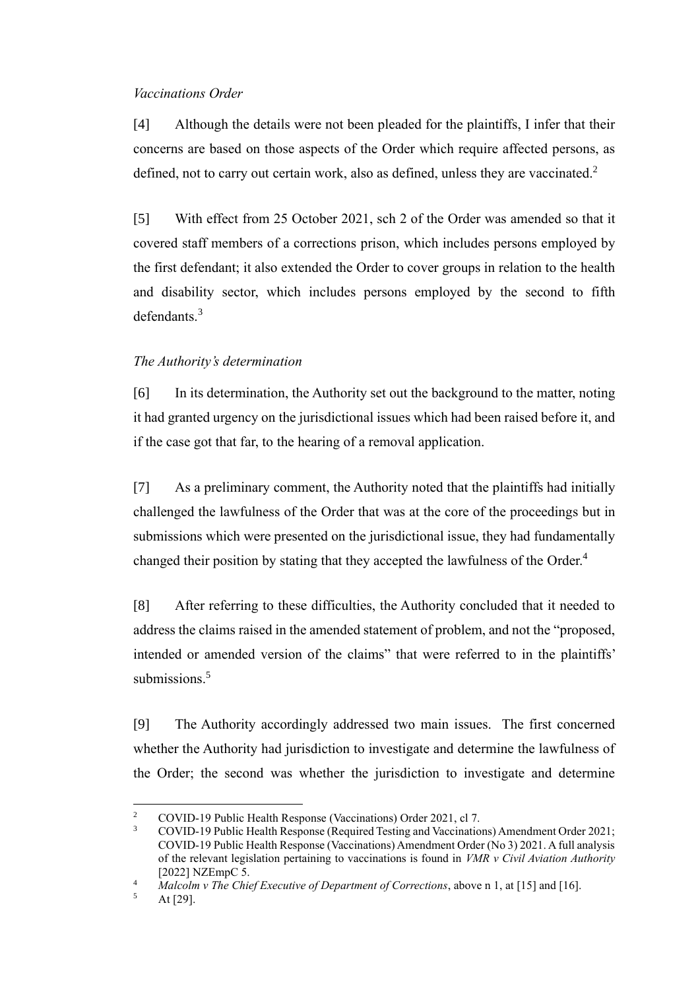#### *Vaccinations Order*

[4] Although the details were not been pleaded for the plaintiffs, I infer that their concerns are based on those aspects of the Order which require affected persons, as defined, not to carry out certain work, also as defined, unless they are vaccinated.<sup>2</sup>

[5] With effect from 25 October 2021, sch 2 of the Order was amended so that it covered staff members of a corrections prison, which includes persons employed by the first defendant; it also extended the Order to cover groups in relation to the health and disability sector, which includes persons employed by the second to fifth defendants.<sup>3</sup>

### *The Authority's determination*

[6] In its determination, the Authority set out the background to the matter, noting it had granted urgency on the jurisdictional issues which had been raised before it, and if the case got that far, to the hearing of a removal application.

[7] As a preliminary comment, the Authority noted that the plaintiffs had initially challenged the lawfulness of the Order that was at the core of the proceedings but in submissions which were presented on the jurisdictional issue, they had fundamentally changed their position by stating that they accepted the lawfulness of the Order.<sup>4</sup>

[8] After referring to these difficulties, the Authority concluded that it needed to address the claims raised in the amended statement of problem, and not the "proposed, intended or amended version of the claims" that were referred to in the plaintiffs' submissions.<sup>5</sup>

[9] The Authority accordingly addressed two main issues. The first concerned whether the Authority had jurisdiction to investigate and determine the lawfulness of the Order; the second was whether the jurisdiction to investigate and determine

<sup>&</sup>lt;sup>2</sup> COVID-19 Public Health Response (Vaccinations) Order 2021, cl 7.<br> $2021 \times 10^{11}$  Public Health Response (Required Testing and Vaccination

<sup>3</sup> COVID-19 Public Health Response (Required Testing and Vaccinations) Amendment Order 2021; COVID-19 Public Health Response (Vaccinations) Amendment Order (No 3) 2021. A full analysis of the relevant legislation pertaining to vaccinations is found in *VMR v Civil Aviation Authority* [2022] NZEmpC 5.

*Malcolm v The Chief Executive of Department of Corrections*, above n 1, at [15] and [16].

At [29].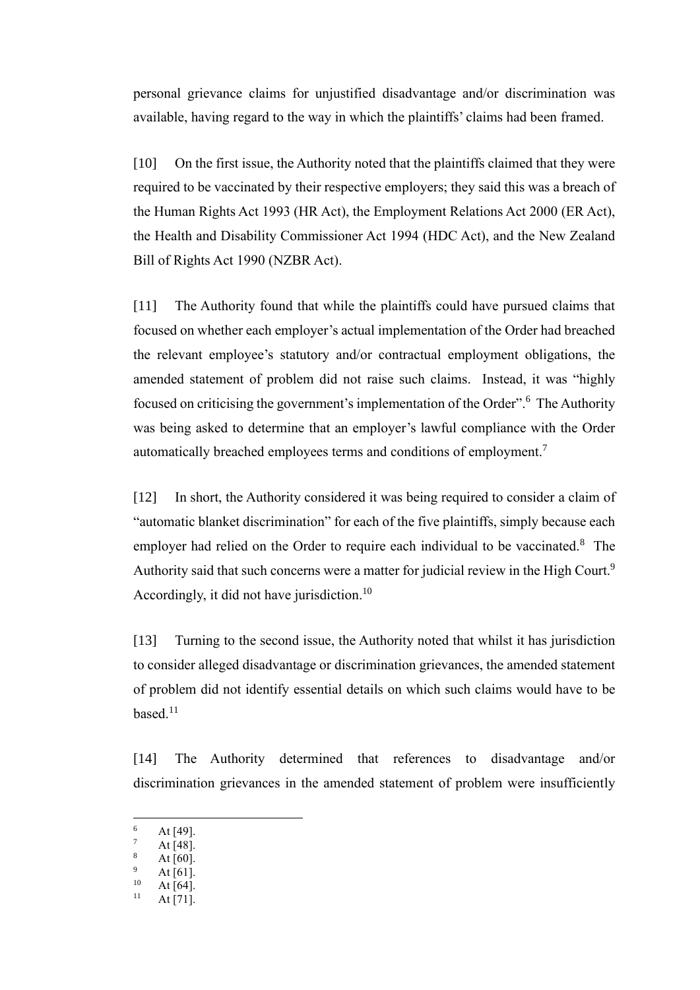personal grievance claims for unjustified disadvantage and/or discrimination was available, having regard to the way in which the plaintiffs' claims had been framed.

[10] On the first issue, the Authority noted that the plaintiffs claimed that they were required to be vaccinated by their respective employers; they said this was a breach of the Human Rights Act 1993 (HR Act), the Employment Relations Act 2000 (ER Act), the Health and Disability Commissioner Act 1994 (HDC Act), and the New Zealand Bill of Rights Act 1990 (NZBR Act).

[11] The Authority found that while the plaintiffs could have pursued claims that focused on whether each employer's actual implementation of the Order had breached the relevant employee's statutory and/or contractual employment obligations, the amended statement of problem did not raise such claims. Instead, it was "highly focused on criticising the government's implementation of the Order".<sup>6</sup> The Authority was being asked to determine that an employer's lawful compliance with the Order automatically breached employees terms and conditions of employment.<sup>7</sup>

[12] In short, the Authority considered it was being required to consider a claim of "automatic blanket discrimination" for each of the five plaintiffs, simply because each employer had relied on the Order to require each individual to be vaccinated.<sup>8</sup> The Authority said that such concerns were a matter for judicial review in the High Court.<sup>9</sup> Accordingly, it did not have jurisdiction.<sup>10</sup>

[13] Turning to the second issue, the Authority noted that whilst it has jurisdiction to consider alleged disadvantage or discrimination grievances, the amended statement of problem did not identify essential details on which such claims would have to be  $based.<sup>11</sup>$ 

[14] The Authority determined that references to disadvantage and/or discrimination grievances in the amended statement of problem were insufficiently

 $\frac{6}{7}$  At [49].

At [48].

At  $[60]$ .

 $^{9}$  At [61].

 $10$  At [64].

At [71].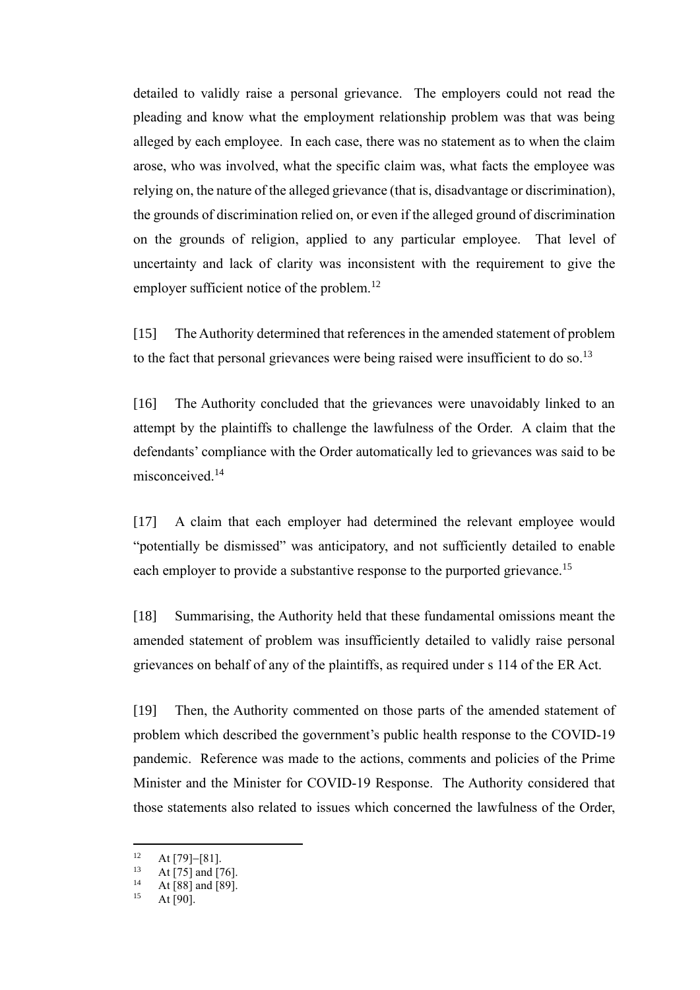detailed to validly raise a personal grievance. The employers could not read the pleading and know what the employment relationship problem was that was being alleged by each employee. In each case, there was no statement as to when the claim arose, who was involved, what the specific claim was, what facts the employee was relying on, the nature of the alleged grievance (that is, disadvantage or discrimination), the grounds of discrimination relied on, or even if the alleged ground of discrimination on the grounds of religion, applied to any particular employee. That level of uncertainty and lack of clarity was inconsistent with the requirement to give the employer sufficient notice of the problem.<sup>12</sup>

[15] The Authority determined that references in the amended statement of problem to the fact that personal grievances were being raised were insufficient to do so.<sup>13</sup>

[16] The Authority concluded that the grievances were unavoidably linked to an attempt by the plaintiffs to challenge the lawfulness of the Order. A claim that the defendants' compliance with the Order automatically led to grievances was said to be misconceived.<sup>14</sup>

[17] A claim that each employer had determined the relevant employee would "potentially be dismissed" was anticipatory, and not sufficiently detailed to enable each employer to provide a substantive response to the purported grievance.<sup>15</sup>

[18] Summarising, the Authority held that these fundamental omissions meant the amended statement of problem was insufficiently detailed to validly raise personal grievances on behalf of any of the plaintiffs, as required under s 114 of the ER Act.

[19] Then, the Authority commented on those parts of the amended statement of problem which described the government's public health response to the COVID-19 pandemic. Reference was made to the actions, comments and policies of the Prime Minister and the Minister for COVID-19 Response. The Authority considered that those statements also related to issues which concerned the lawfulness of the Order,

 $12 \text{ At } [79]-[81].$ <br>
13 At [75] and [7]

<sup>&</sup>lt;sup>13</sup> At [75] and [76].

<sup>&</sup>lt;sup>14</sup> At [88] and [89].

At  $[90]$ .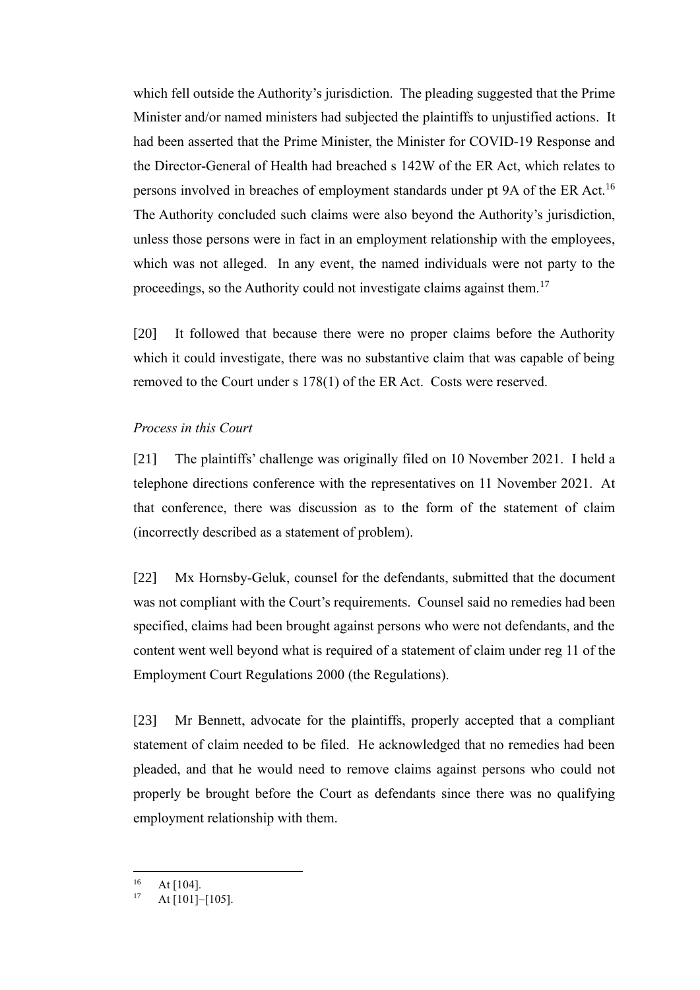which fell outside the Authority's jurisdiction. The pleading suggested that the Prime Minister and/or named ministers had subjected the plaintiffs to unjustified actions. It had been asserted that the Prime Minister, the Minister for COVID-19 Response and the Director-General of Health had breached s 142W of the ER Act, which relates to persons involved in breaches of employment standards under pt 9A of the ER Act.<sup>16</sup> The Authority concluded such claims were also beyond the Authority's jurisdiction, unless those persons were in fact in an employment relationship with the employees, which was not alleged. In any event, the named individuals were not party to the proceedings, so the Authority could not investigate claims against them.<sup>17</sup>

[20] It followed that because there were no proper claims before the Authority which it could investigate, there was no substantive claim that was capable of being removed to the Court under s 178(1) of the ER Act. Costs were reserved.

#### *Process in this Court*

[21] The plaintiffs' challenge was originally filed on 10 November 2021. I held a telephone directions conference with the representatives on 11 November 2021. At that conference, there was discussion as to the form of the statement of claim (incorrectly described as a statement of problem).

[22] Mx Hornsby-Geluk, counsel for the defendants, submitted that the document was not compliant with the Court's requirements. Counsel said no remedies had been specified, claims had been brought against persons who were not defendants, and the content went well beyond what is required of a statement of claim under reg 11 of the Employment Court Regulations 2000 (the Regulations).

[23] Mr Bennett, advocate for the plaintiffs, properly accepted that a compliant statement of claim needed to be filed. He acknowledged that no remedies had been pleaded, and that he would need to remove claims against persons who could not properly be brought before the Court as defendants since there was no qualifying employment relationship with them.

 $16$  At [104].

<sup>17</sup> At [101]−[105].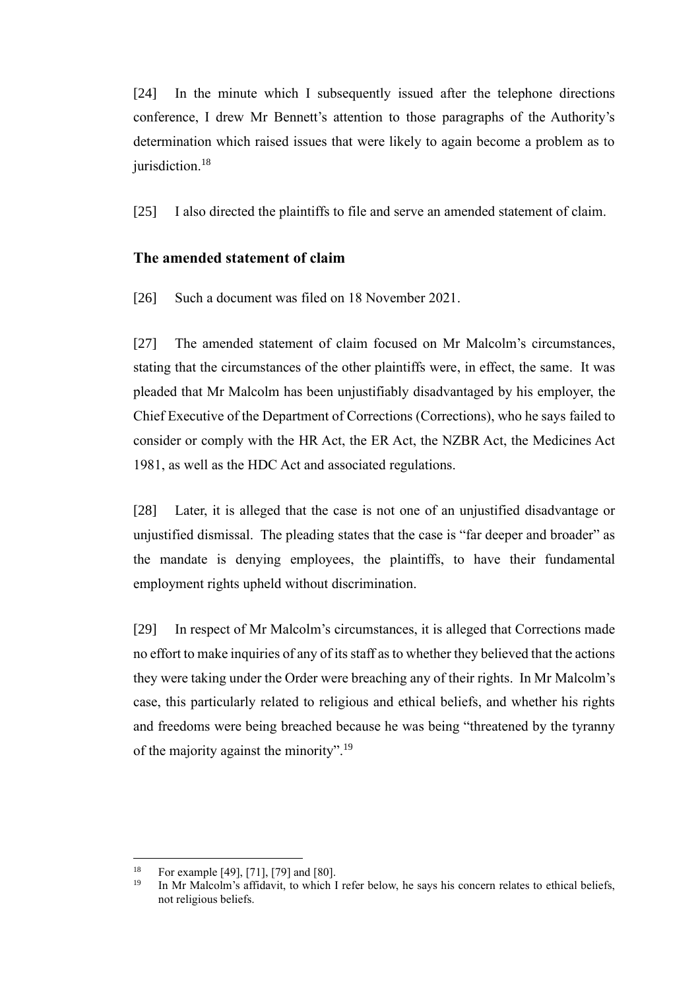[24] In the minute which I subsequently issued after the telephone directions conference, I drew Mr Bennett's attention to those paragraphs of the Authority's determination which raised issues that were likely to again become a problem as to jurisdiction.<sup>18</sup>

[25] I also directed the plaintiffs to file and serve an amended statement of claim.

## **The amended statement of claim**

[26] Such a document was filed on 18 November 2021.

[27] The amended statement of claim focused on Mr Malcolm's circumstances, stating that the circumstances of the other plaintiffs were, in effect, the same. It was pleaded that Mr Malcolm has been unjustifiably disadvantaged by his employer, the Chief Executive of the Department of Corrections (Corrections), who he says failed to consider or comply with the HR Act, the ER Act, the NZBR Act, the Medicines Act 1981, as well as the HDC Act and associated regulations.

[28] Later, it is alleged that the case is not one of an unjustified disadvantage or unjustified dismissal. The pleading states that the case is "far deeper and broader" as the mandate is denying employees, the plaintiffs, to have their fundamental employment rights upheld without discrimination.

[29] In respect of Mr Malcolm's circumstances, it is alleged that Corrections made no effort to make inquiries of any of its staff as to whether they believed that the actions they were taking under the Order were breaching any of their rights. In Mr Malcolm's case, this particularly related to religious and ethical beliefs, and whether his rights and freedoms were being breached because he was being "threatened by the tyranny of the majority against the minority".<sup>19</sup>

<sup>&</sup>lt;sup>18</sup> For example [49], [71], [79] and [80].

<sup>19</sup> In Mr Malcolm's affidavit, to which I refer below, he says his concern relates to ethical beliefs, not religious beliefs.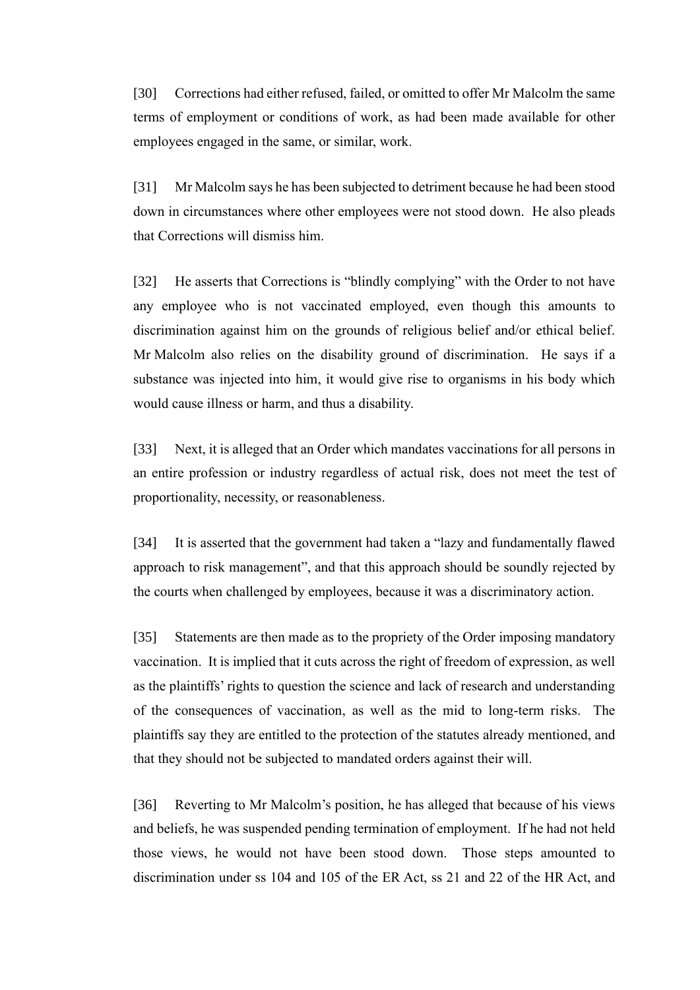[30] Corrections had either refused, failed, or omitted to offer Mr Malcolm the same terms of employment or conditions of work, as had been made available for other employees engaged in the same, or similar, work.

[31] Mr Malcolm says he has been subjected to detriment because he had been stood down in circumstances where other employees were not stood down. He also pleads that Corrections will dismiss him.

[32] He asserts that Corrections is "blindly complying" with the Order to not have any employee who is not vaccinated employed, even though this amounts to discrimination against him on the grounds of religious belief and/or ethical belief. Mr Malcolm also relies on the disability ground of discrimination. He says if a substance was injected into him, it would give rise to organisms in his body which would cause illness or harm, and thus a disability.

[33] Next, it is alleged that an Order which mandates vaccinations for all persons in an entire profession or industry regardless of actual risk, does not meet the test of proportionality, necessity, or reasonableness.

[34] It is asserted that the government had taken a "lazy and fundamentally flawed approach to risk management", and that this approach should be soundly rejected by the courts when challenged by employees, because it was a discriminatory action.

[35] Statements are then made as to the propriety of the Order imposing mandatory vaccination. It is implied that it cuts across the right of freedom of expression, as well as the plaintiffs' rights to question the science and lack of research and understanding of the consequences of vaccination, as well as the mid to long-term risks. The plaintiffs say they are entitled to the protection of the statutes already mentioned, and that they should not be subjected to mandated orders against their will.

[36] Reverting to Mr Malcolm's position, he has alleged that because of his views and beliefs, he was suspended pending termination of employment. If he had not held those views, he would not have been stood down. Those steps amounted to discrimination under ss 104 and 105 of the ER Act, ss 21 and 22 of the HR Act, and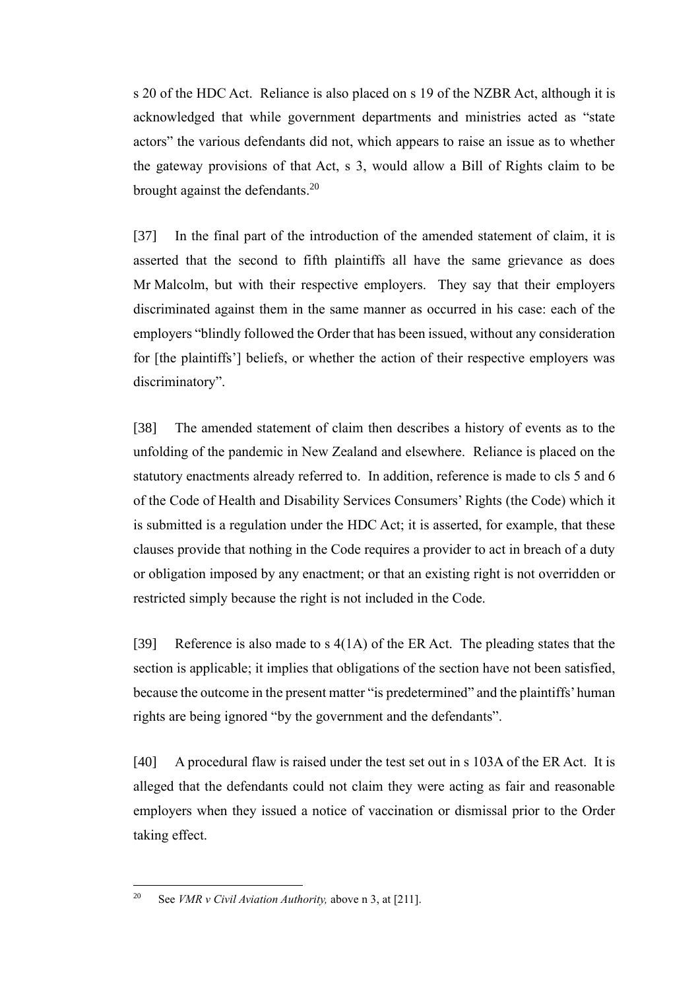s 20 of the HDC Act. Reliance is also placed on s 19 of the NZBR Act, although it is acknowledged that while government departments and ministries acted as "state actors" the various defendants did not, which appears to raise an issue as to whether the gateway provisions of that Act, s 3, would allow a Bill of Rights claim to be brought against the defendants.<sup>20</sup>

[37] In the final part of the introduction of the amended statement of claim, it is asserted that the second to fifth plaintiffs all have the same grievance as does Mr Malcolm, but with their respective employers. They say that their employers discriminated against them in the same manner as occurred in his case: each of the employers "blindly followed the Order that has been issued, without any consideration for [the plaintiffs'] beliefs, or whether the action of their respective employers was discriminatory".

[38] The amended statement of claim then describes a history of events as to the unfolding of the pandemic in New Zealand and elsewhere. Reliance is placed on the statutory enactments already referred to. In addition, reference is made to cls 5 and 6 of the Code of Health and Disability Services Consumers' Rights (the Code) which it is submitted is a regulation under the HDC Act; it is asserted, for example, that these clauses provide that nothing in the Code requires a provider to act in breach of a duty or obligation imposed by any enactment; or that an existing right is not overridden or restricted simply because the right is not included in the Code.

[39] Reference is also made to s 4(1A) of the ER Act. The pleading states that the section is applicable; it implies that obligations of the section have not been satisfied, because the outcome in the present matter "is predetermined" and the plaintiffs' human rights are being ignored "by the government and the defendants".

[40] A procedural flaw is raised under the test set out in s 103A of the ER Act. It is alleged that the defendants could not claim they were acting as fair and reasonable employers when they issued a notice of vaccination or dismissal prior to the Order taking effect.

<sup>20</sup> See *VMR v Civil Aviation Authority,* above n 3, at [211].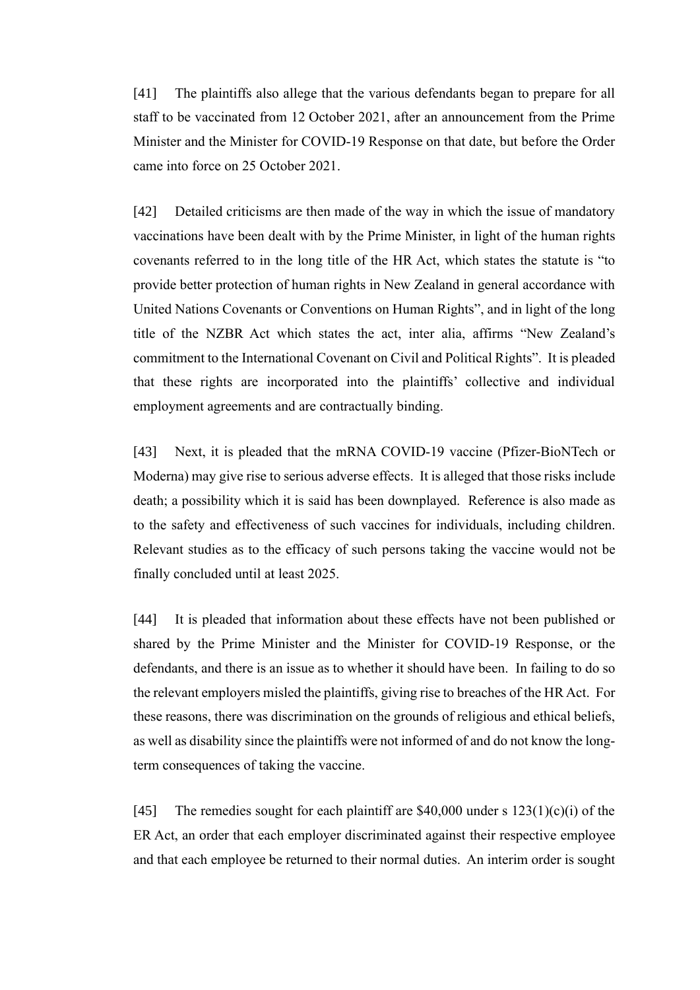[41] The plaintiffs also allege that the various defendants began to prepare for all staff to be vaccinated from 12 October 2021, after an announcement from the Prime Minister and the Minister for COVID-19 Response on that date, but before the Order came into force on 25 October 2021.

[42] Detailed criticisms are then made of the way in which the issue of mandatory vaccinations have been dealt with by the Prime Minister, in light of the human rights covenants referred to in the long title of the HR Act, which states the statute is "to provide better protection of human rights in New Zealand in general accordance with United Nations Covenants or Conventions on Human Rights", and in light of the long title of the NZBR Act which states the act, inter alia, affirms "New Zealand's commitment to the International Covenant on Civil and Political Rights". It is pleaded that these rights are incorporated into the plaintiffs' collective and individual employment agreements and are contractually binding.

[43] Next, it is pleaded that the mRNA COVID-19 vaccine (Pfizer-BioNTech or Moderna) may give rise to serious adverse effects. It is alleged that those risks include death; a possibility which it is said has been downplayed. Reference is also made as to the safety and effectiveness of such vaccines for individuals, including children. Relevant studies as to the efficacy of such persons taking the vaccine would not be finally concluded until at least 2025.

[44] It is pleaded that information about these effects have not been published or shared by the Prime Minister and the Minister for COVID-19 Response, or the defendants, and there is an issue as to whether it should have been. In failing to do so the relevant employers misled the plaintiffs, giving rise to breaches of the HR Act. For these reasons, there was discrimination on the grounds of religious and ethical beliefs, as well as disability since the plaintiffs were not informed of and do not know the longterm consequences of taking the vaccine.

[45] The remedies sought for each plaintiff are \$40,000 under s  $123(1)(c)(i)$  of the ER Act, an order that each employer discriminated against their respective employee and that each employee be returned to their normal duties. An interim order is sought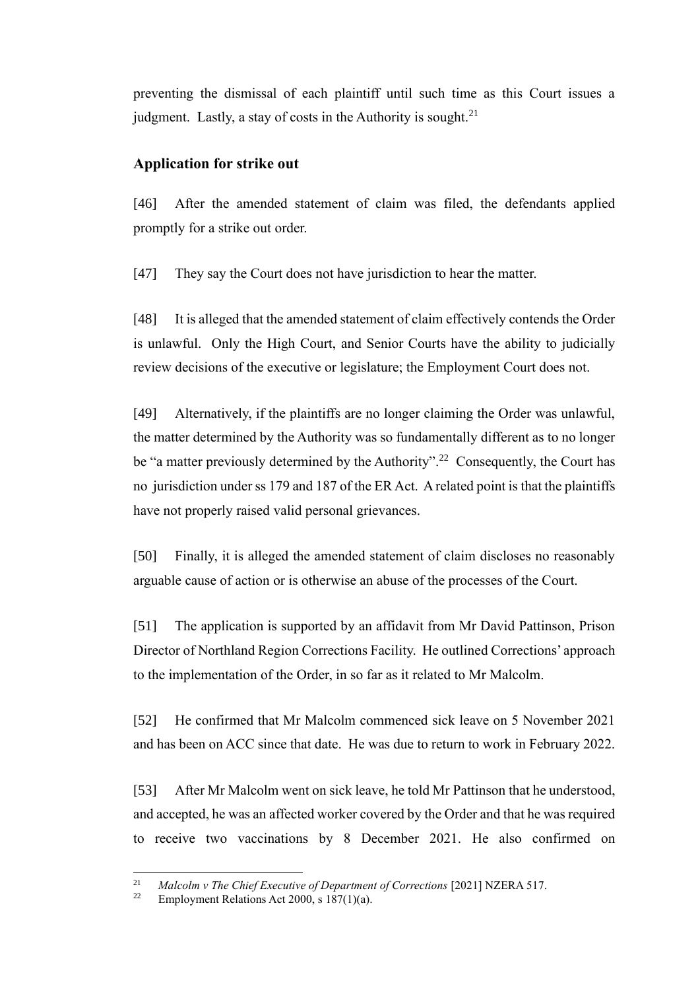preventing the dismissal of each plaintiff until such time as this Court issues a judgment. Lastly, a stay of costs in the Authority is sought. $21$ 

## **Application for strike out**

[46] After the amended statement of claim was filed, the defendants applied promptly for a strike out order.

[47] They say the Court does not have jurisdiction to hear the matter.

[48] It is alleged that the amended statement of claim effectively contends the Order is unlawful. Only the High Court, and Senior Courts have the ability to judicially review decisions of the executive or legislature; the Employment Court does not.

[49] Alternatively, if the plaintiffs are no longer claiming the Order was unlawful, the matter determined by the Authority was so fundamentally different as to no longer be "a matter previously determined by the Authority".<sup>22</sup> Consequently, the Court has no jurisdiction under ss 179 and 187 of the ER Act. A related point is that the plaintiffs have not properly raised valid personal grievances.

[50] Finally, it is alleged the amended statement of claim discloses no reasonably arguable cause of action or is otherwise an abuse of the processes of the Court.

[51] The application is supported by an affidavit from Mr David Pattinson, Prison Director of Northland Region Corrections Facility. He outlined Corrections' approach to the implementation of the Order, in so far as it related to Mr Malcolm.

[52] He confirmed that Mr Malcolm commenced sick leave on 5 November 2021 and has been on ACC since that date. He was due to return to work in February 2022.

[53] After Mr Malcolm went on sick leave, he told Mr Pattinson that he understood, and accepted, he was an affected worker covered by the Order and that he was required to receive two vaccinations by 8 December 2021. He also confirmed on

<sup>&</sup>lt;sup>21</sup> *Malcolm v The Chief Executive of Department of Corrections* [2021] NZERA 517.

Employment Relations Act 2000, s  $187(1)(a)$ .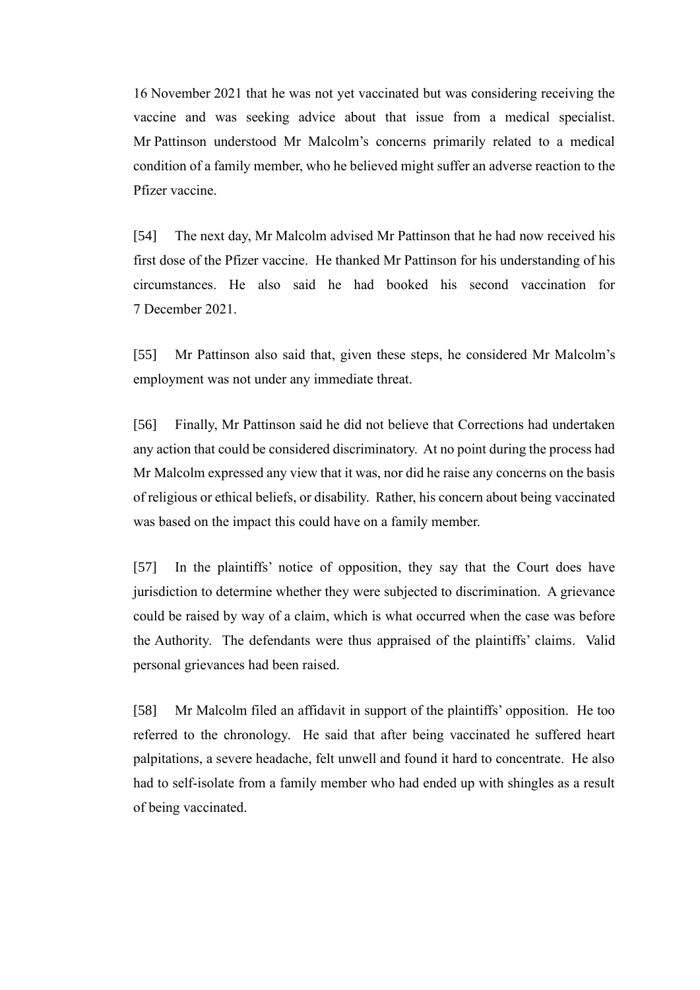16 November 2021 that he was not yet vaccinated but was considering receiving the vaccine and was seeking advice about that issue from a medical specialist. Mr Pattinson understood Mr Malcolm's concerns primarily related to a medical condition of a family member, who he believed might suffer an adverse reaction to the Pfizer vaccine.

[54] The next day, Mr Malcolm advised Mr Pattinson that he had now received his first dose of the Pfizer vaccine. He thanked Mr Pattinson for his understanding of his circumstances. He also said he had booked his second vaccination for 7 December 2021.

[55] Mr Pattinson also said that, given these steps, he considered Mr Malcolm's employment was not under any immediate threat.

[56] Finally, Mr Pattinson said he did not believe that Corrections had undertaken any action that could be considered discriminatory. At no point during the process had Mr Malcolm expressed any view that it was, nor did he raise any concerns on the basis of religious or ethical beliefs, or disability. Rather, his concern about being vaccinated was based on the impact this could have on a family member.

[57] In the plaintiffs' notice of opposition, they say that the Court does have jurisdiction to determine whether they were subjected to discrimination. A grievance could be raised by way of a claim, which is what occurred when the case was before the Authority. The defendants were thus appraised of the plaintiffs' claims. Valid personal grievances had been raised.

[58] Mr Malcolm filed an affidavit in support of the plaintiffs' opposition. He too referred to the chronology. He said that after being vaccinated he suffered heart palpitations, a severe headache, felt unwell and found it hard to concentrate. He also had to self-isolate from a family member who had ended up with shingles as a result of being vaccinated.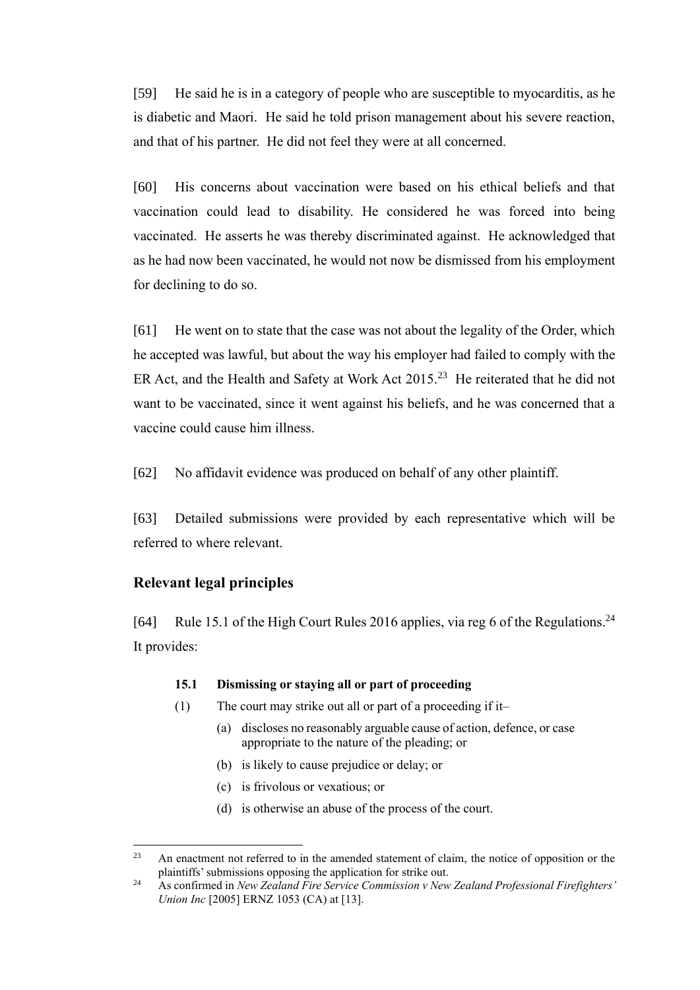[59] He said he is in a category of people who are susceptible to myocarditis, as he is diabetic and Maori. He said he told prison management about his severe reaction, and that of his partner. He did not feel they were at all concerned.

[60] His concerns about vaccination were based on his ethical beliefs and that vaccination could lead to disability. He considered he was forced into being vaccinated. He asserts he was thereby discriminated against. He acknowledged that as he had now been vaccinated, he would not now be dismissed from his employment for declining to do so.

[61] He went on to state that the case was not about the legality of the Order, which he accepted was lawful, but about the way his employer had failed to comply with the ER Act, and the Health and Safety at Work Act  $2015$ <sup>23</sup> He reiterated that he did not want to be vaccinated, since it went against his beliefs, and he was concerned that a vaccine could cause him illness.

[62] No affidavit evidence was produced on behalf of any other plaintiff.

[63] Detailed submissions were provided by each representative which will be referred to where relevant.

### **Relevant legal principles**

[64] Rule 15.1 of the High Court Rules 2016 applies, via reg 6 of the Regulations.<sup>24</sup> It provides:

#### **15.1 Dismissing or staying all or part of proceeding**

- $(1)$  The court may strike out all or part of a proceeding if it—
	- (a) discloses no reasonably arguable cause of action, defence, or case appropriate to the nature of the pleading; or
	- (b) is likely to cause prejudice or delay; or
	- (c) is frivolous or vexatious; or
	- (d) is otherwise an abuse of the process of the court.

<sup>&</sup>lt;sup>23</sup> An enactment not referred to in the amended statement of claim, the notice of opposition or the plaintiffs' submissions opposing the application for strike out.

<sup>24</sup> As confirmed in *New Zealand Fire Service Commission v New Zealand Professional Firefighters' Union Inc* [2005] ERNZ 1053 (CA) at [13].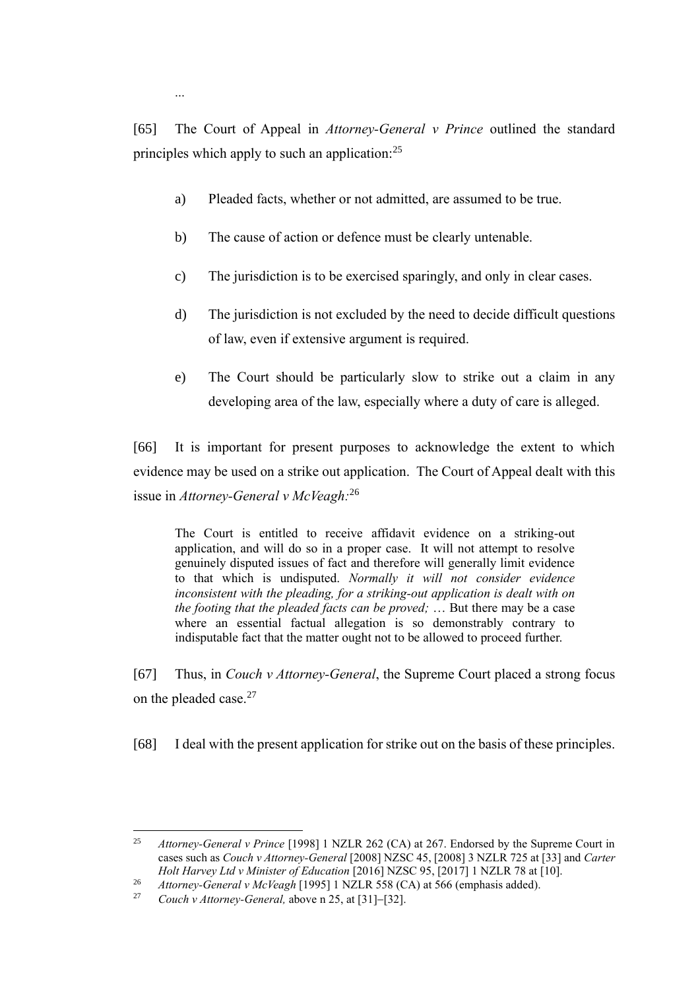[65] The Court of Appeal in *Attorney-General v Prince* outlined the standard principles which apply to such an application:<sup>25</sup>

- a) Pleaded facts, whether or not admitted, are assumed to be true.
- b) The cause of action or defence must be clearly untenable.

...

- c) The jurisdiction is to be exercised sparingly, and only in clear cases.
- d) The jurisdiction is not excluded by the need to decide difficult questions of law, even if extensive argument is required.
- e) The Court should be particularly slow to strike out a claim in any developing area of the law, especially where a duty of care is alleged.

[66] It is important for present purposes to acknowledge the extent to which evidence may be used on a strike out application. The Court of Appeal dealt with this issue in *Attorney-General v McVeagh:*<sup>26</sup> 

The Court is entitled to receive affidavit evidence on a striking-out application, and will do so in a proper case. It will not attempt to resolve genuinely disputed issues of fact and therefore will generally limit evidence to that which is undisputed. *Normally it will not consider evidence inconsistent with the pleading, for a striking-out application is dealt with on the footing that the pleaded facts can be proved;* … But there may be a case where an essential factual allegation is so demonstrably contrary to indisputable fact that the matter ought not to be allowed to proceed further.

[67] Thus, in *Couch v Attorney-General*, the Supreme Court placed a strong focus on the pleaded case.<sup>27</sup>

[68] I deal with the present application for strike out on the basis of these principles.

<sup>25</sup> *Attorney-General v Prince* [1998] 1 NZLR 262 (CA) at 267. Endorsed by the Supreme Court in cases such as *Couch v Attorney-General* [2008] NZSC 45, [2008] 3 NZLR 725 at [33] and *Carter Holt Harvey Ltd v Minister of Education* [2016] NZSC 95, [2017] 1 NZLR 78 at [10].

<sup>26</sup> *Attorney-General v McVeagh* [1995] 1 NZLR 558 (CA) at 566 (emphasis added).

<sup>27</sup> *Couch v Attorney-General,* above n 25, at [31]−[32].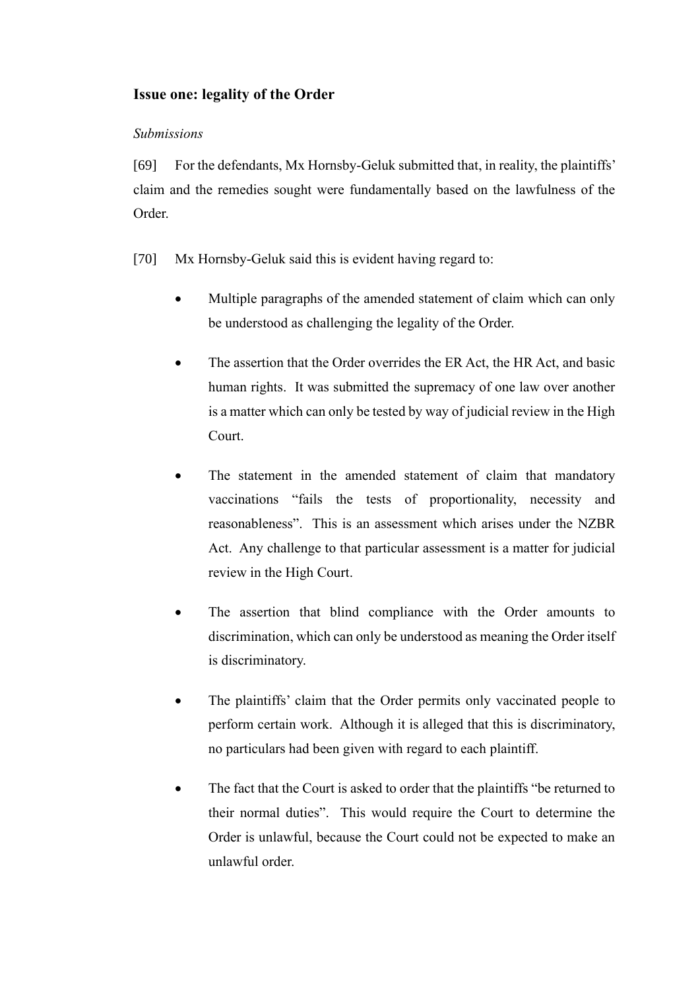# **Issue one: legality of the Order**

### *Submissions*

[69] For the defendants, Mx Hornsby-Geluk submitted that, in reality, the plaintiffs' claim and the remedies sought were fundamentally based on the lawfulness of the Order.

- [70] Mx Hornsby-Geluk said this is evident having regard to:
	- Multiple paragraphs of the amended statement of claim which can only be understood as challenging the legality of the Order.
	- The assertion that the Order overrides the ER Act, the HR Act, and basic human rights. It was submitted the supremacy of one law over another is a matter which can only be tested by way of judicial review in the High Court.
	- The statement in the amended statement of claim that mandatory vaccinations "fails the tests of proportionality, necessity and reasonableness". This is an assessment which arises under the NZBR Act. Any challenge to that particular assessment is a matter for judicial review in the High Court.
	- The assertion that blind compliance with the Order amounts to discrimination, which can only be understood as meaning the Order itself is discriminatory.
	- The plaintiffs' claim that the Order permits only vaccinated people to perform certain work. Although it is alleged that this is discriminatory, no particulars had been given with regard to each plaintiff.
	- The fact that the Court is asked to order that the plaintiffs "be returned to their normal duties". This would require the Court to determine the Order is unlawful, because the Court could not be expected to make an unlawful order.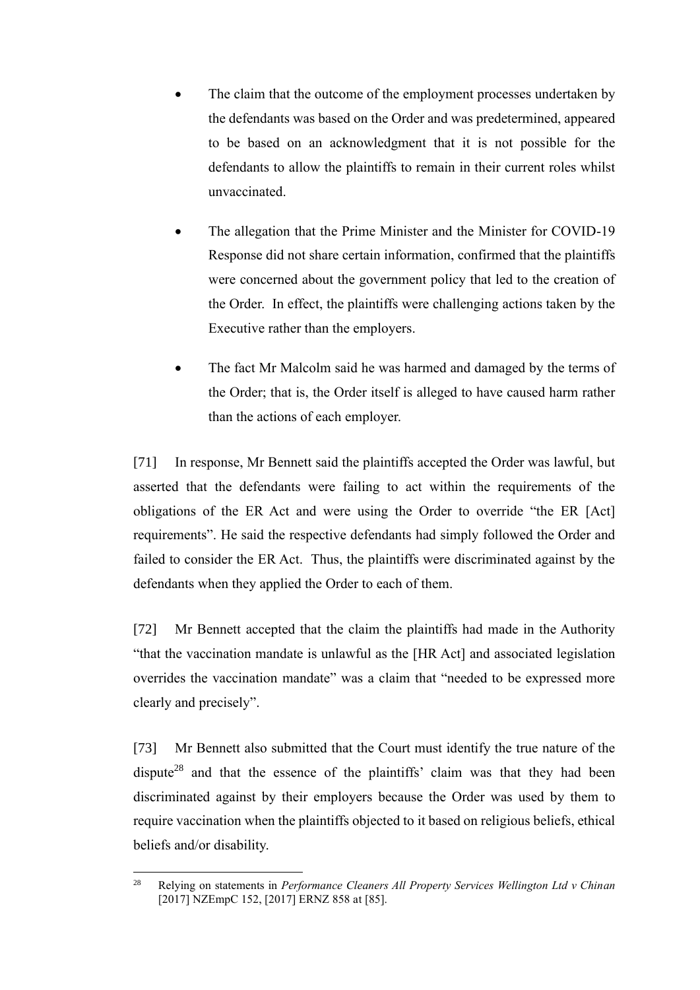- The claim that the outcome of the employment processes undertaken by the defendants was based on the Order and was predetermined, appeared to be based on an acknowledgment that it is not possible for the defendants to allow the plaintiffs to remain in their current roles whilst unvaccinated.
- The allegation that the Prime Minister and the Minister for COVID-19 Response did not share certain information, confirmed that the plaintiffs were concerned about the government policy that led to the creation of the Order. In effect, the plaintiffs were challenging actions taken by the Executive rather than the employers.
- The fact Mr Malcolm said he was harmed and damaged by the terms of the Order; that is, the Order itself is alleged to have caused harm rather than the actions of each employer.

[71] In response, Mr Bennett said the plaintiffs accepted the Order was lawful, but asserted that the defendants were failing to act within the requirements of the obligations of the ER Act and were using the Order to override "the ER [Act] requirements". He said the respective defendants had simply followed the Order and failed to consider the ER Act. Thus, the plaintiffs were discriminated against by the defendants when they applied the Order to each of them.

[72] Mr Bennett accepted that the claim the plaintiffs had made in the Authority "that the vaccination mandate is unlawful as the [HR Act] and associated legislation overrides the vaccination mandate" was a claim that "needed to be expressed more clearly and precisely".

[73] Mr Bennett also submitted that the Court must identify the true nature of the dispute<sup>28</sup> and that the essence of the plaintiffs' claim was that they had been discriminated against by their employers because the Order was used by them to require vaccination when the plaintiffs objected to it based on religious beliefs, ethical beliefs and/or disability.

<sup>28</sup> Relying on statements in *Performance Cleaners All Property Services Wellington Ltd v Chinan* [2017] NZEmpC 152, [2017] ERNZ 858 at [85].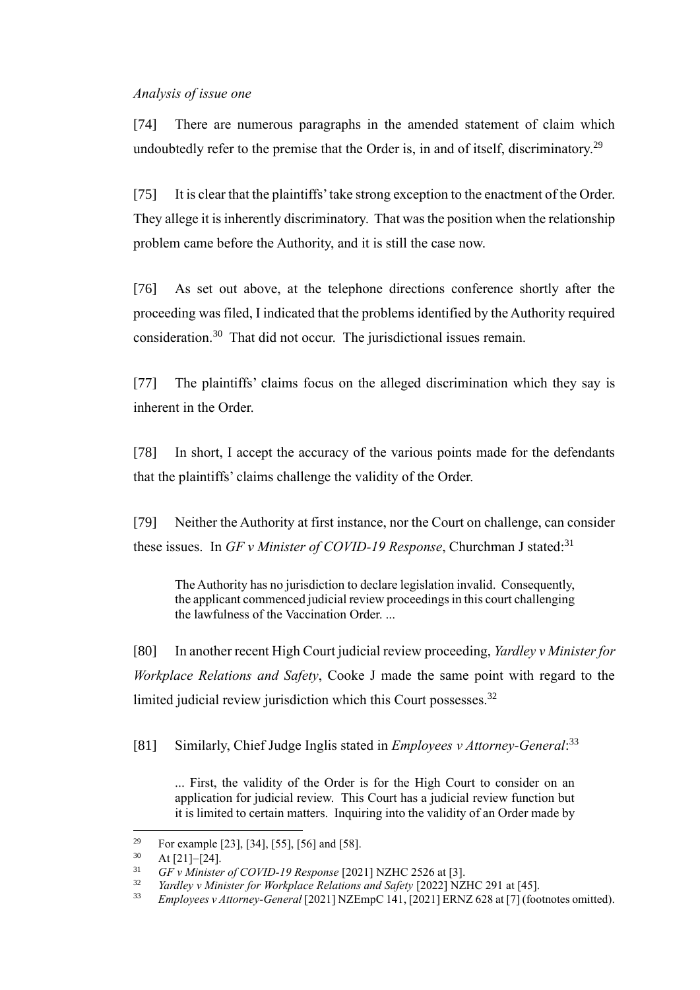#### *Analysis of issue one*

[74] There are numerous paragraphs in the amended statement of claim which undoubtedly refer to the premise that the Order is, in and of itself, discriminatory.<sup>29</sup>

[75] It is clear that the plaintiffs' take strong exception to the enactment of the Order. They allege it is inherently discriminatory. That was the position when the relationship problem came before the Authority, and it is still the case now.

[76] As set out above, at the telephone directions conference shortly after the proceeding was filed, I indicated that the problems identified by the Authority required consideration.<sup>30</sup> That did not occur. The jurisdictional issues remain.

[77] The plaintiffs' claims focus on the alleged discrimination which they say is inherent in the Order.

[78] In short, I accept the accuracy of the various points made for the defendants that the plaintiffs' claims challenge the validity of the Order.

[79] Neither the Authority at first instance, nor the Court on challenge, can consider these issues. In *GF v Minister of COVID-19 Response*, Churchman J stated: 31

The Authority has no jurisdiction to declare legislation invalid. Consequently, the applicant commenced judicial review proceedings in this court challenging the lawfulness of the Vaccination Order. ...

[80] In another recent High Court judicial review proceeding, *Yardley v Minister for Workplace Relations and Safety*, Cooke J made the same point with regard to the limited judicial review jurisdiction which this Court possesses.<sup>32</sup>

[81] Similarly, Chief Judge Inglis stated in *Employees v Attorney-General*: 33

... First, the validity of the Order is for the High Court to consider on an application for judicial review. This Court has a judicial review function but it is limited to certain matters. Inquiring into the validity of an Order made by

<sup>29</sup> For example [23], [34], [55], [56] and [58].

<sup>30</sup> At [21]−[24].

<sup>31</sup> *GF v Minister of COVID-19 Response* [2021] NZHC 2526 at [3].

Yardley v Minister for Workplace Relations and Safety [2022] NZHC 291 at [45].

<sup>33</sup> *Employees v Attorney-General* [2021] NZEmpC 141, [2021] ERNZ 628 at [7] (footnotes omitted).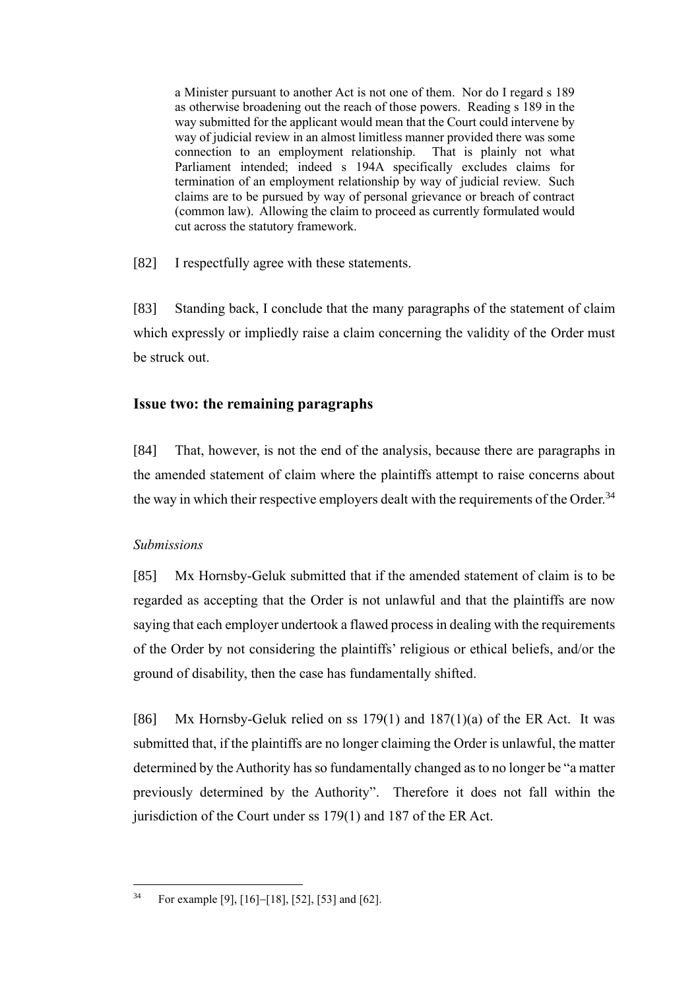a Minister pursuant to another Act is not one of them. Nor do I regard s 189 as otherwise broadening out the reach of those powers. Reading s 189 in the way submitted for the applicant would mean that the Court could intervene by way of judicial review in an almost limitless manner provided there was some connection to an employment relationship. That is plainly not what Parliament intended; indeed s 194A specifically excludes claims for termination of an employment relationship by way of judicial review. Such claims are to be pursued by way of personal grievance or breach of contract (common law). Allowing the claim to proceed as currently formulated would cut across the statutory framework.

[82] I respectfully agree with these statements.

[83] Standing back, I conclude that the many paragraphs of the statement of claim which expressly or impliedly raise a claim concerning the validity of the Order must be struck out.

## **Issue two: the remaining paragraphs**

[84] That, however, is not the end of the analysis, because there are paragraphs in the amended statement of claim where the plaintiffs attempt to raise concerns about the way in which their respective employers dealt with the requirements of the Order.<sup>34</sup>

### *Submissions*

[85] Mx Hornsby-Geluk submitted that if the amended statement of claim is to be regarded as accepting that the Order is not unlawful and that the plaintiffs are now saying that each employer undertook a flawed process in dealing with the requirements of the Order by not considering the plaintiffs' religious or ethical beliefs, and/or the ground of disability, then the case has fundamentally shifted.

[86] Mx Hornsby-Geluk relied on ss  $179(1)$  and  $187(1)(a)$  of the ER Act. It was submitted that, if the plaintiffs are no longer claiming the Order is unlawful, the matter determined by the Authority has so fundamentally changed as to no longer be "a matter previously determined by the Authority". Therefore it does not fall within the jurisdiction of the Court under ss 179(1) and 187 of the ER Act.

<sup>34</sup> For example [9], [16]−[18], [52], [53] and [62].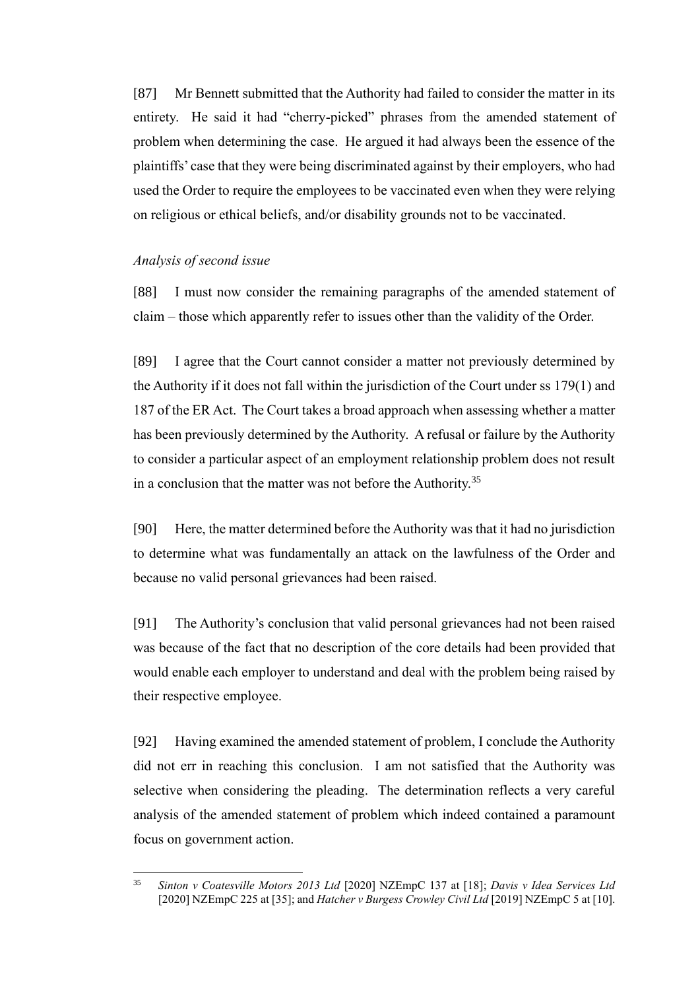[87] Mr Bennett submitted that the Authority had failed to consider the matter in its entirety. He said it had "cherry-picked" phrases from the amended statement of problem when determining the case. He argued it had always been the essence of the plaintiffs' case that they were being discriminated against by their employers, who had used the Order to require the employees to be vaccinated even when they were relying on religious or ethical beliefs, and/or disability grounds not to be vaccinated.

#### *Analysis of second issue*

[88] I must now consider the remaining paragraphs of the amended statement of claim – those which apparently refer to issues other than the validity of the Order.

[89] I agree that the Court cannot consider a matter not previously determined by the Authority if it does not fall within the jurisdiction of the Court under ss 179(1) and 187 of the ER Act. The Court takes a broad approach when assessing whether a matter has been previously determined by the Authority. A refusal or failure by the Authority to consider a particular aspect of an employment relationship problem does not result in a conclusion that the matter was not before the Authority. $35$ 

[90] Here, the matter determined before the Authority was that it had no jurisdiction to determine what was fundamentally an attack on the lawfulness of the Order and because no valid personal grievances had been raised.

[91] The Authority's conclusion that valid personal grievances had not been raised was because of the fact that no description of the core details had been provided that would enable each employer to understand and deal with the problem being raised by their respective employee.

[92] Having examined the amended statement of problem, I conclude the Authority did not err in reaching this conclusion. I am not satisfied that the Authority was selective when considering the pleading. The determination reflects a very careful analysis of the amended statement of problem which indeed contained a paramount focus on government action.

<sup>35</sup> *Sinton v Coatesville Motors 2013 Ltd* [2020] NZEmpC 137 at [18]; *Davis v Idea Services Ltd* [2020] NZEmpC 225 at [35]; and *Hatcher v Burgess Crowley Civil Ltd* [2019] NZEmpC 5 at [10].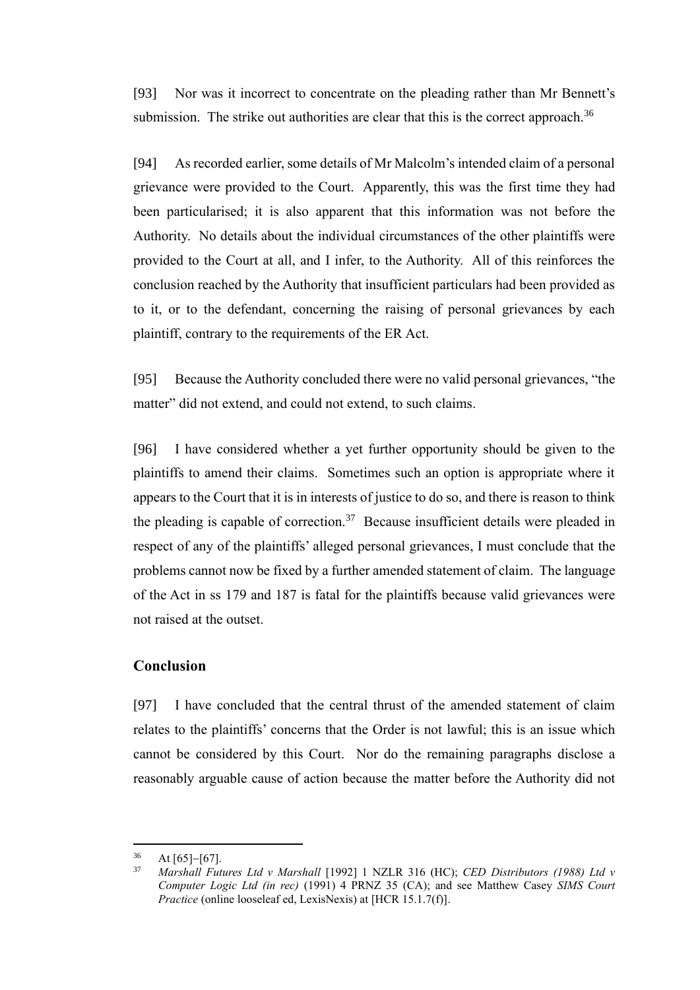[93] Nor was it incorrect to concentrate on the pleading rather than Mr Bennett's submission. The strike out authorities are clear that this is the correct approach.<sup>36</sup>

[94] As recorded earlier, some details of Mr Malcolm's intended claim of a personal grievance were provided to the Court. Apparently, this was the first time they had been particularised; it is also apparent that this information was not before the Authority. No details about the individual circumstances of the other plaintiffs were provided to the Court at all, and I infer, to the Authority. All of this reinforces the conclusion reached by the Authority that insufficient particulars had been provided as to it, or to the defendant, concerning the raising of personal grievances by each plaintiff, contrary to the requirements of the ER Act.

[95] Because the Authority concluded there were no valid personal grievances, "the matter" did not extend, and could not extend, to such claims.

[96] I have considered whether a yet further opportunity should be given to the plaintiffs to amend their claims. Sometimes such an option is appropriate where it appears to the Court that it is in interests of justice to do so, and there is reason to think the pleading is capable of correction.<sup>37</sup> Because insufficient details were pleaded in respect of any of the plaintiffs' alleged personal grievances, I must conclude that the problems cannot now be fixed by a further amended statement of claim. The language of the Act in ss 179 and 187 is fatal for the plaintiffs because valid grievances were not raised at the outset.

## **Conclusion**

[97] I have concluded that the central thrust of the amended statement of claim relates to the plaintiffs' concerns that the Order is not lawful; this is an issue which cannot be considered by this Court. Nor do the remaining paragraphs disclose a reasonably arguable cause of action because the matter before the Authority did not

 $36 \text{ At } [65]–[67].$ <br>37 Marshall E.

<sup>37</sup> *Marshall Futures Ltd v Marshall* [1992] 1 NZLR 316 (HC); *CED Distributors (1988) Ltd v Computer Logic Ltd (in rec)* (1991) 4 PRNZ 35 (CA); and see Matthew Casey *SIMS Court Practice* (online looseleaf ed, LexisNexis) at [HCR 15.1.7(f)].